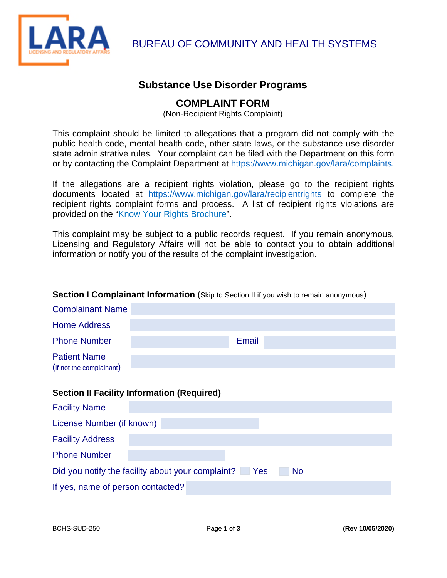

LARA BUREAU OF COMMUNITY AND HEALTH SYSTEMS

## **Substance Use Disorder Programs**

## **COMPLAINT FORM**

(Non-Recipient Rights Complaint)

This complaint should be limited to allegations that a program did not comply with the public health code, mental health code, other state laws, or the substance use disorder state administrative rules. Your complaint can be filed with the Department on this form or by contacting the Complaint Department at [https://www.michigan.gov/lara/complaints.](https://www.michigan.gov/lara/complaints)

If the allegations are a recipient rights violation, please go to the recipient rights documents located at <https://www.michigan.gov/lara/recipientrights>to complete the recipient rights complaint forms and process. A list of recipient rights violations are provided on the "Know Your Rights Brochure".

This complaint may be subject to a public records request. If you remain anonymous, Licensing and Regulatory Affairs will not be able to contact you to obtain additional information or notify you of the results of the complaint investigation.

\_\_\_\_\_\_\_\_\_\_\_\_\_\_\_\_\_\_\_\_\_\_\_\_\_\_\_\_\_\_\_\_\_\_\_\_\_\_\_\_\_\_\_\_\_\_\_\_\_\_\_\_\_\_\_\_\_\_\_\_\_\_\_\_\_\_\_\_\_\_

| <b>Section I Complainant Information</b> (Skip to Section II if you wish to remain anonymous) |       |  |  |  |
|-----------------------------------------------------------------------------------------------|-------|--|--|--|
| <b>Complainant Name</b>                                                                       |       |  |  |  |
| <b>Home Address</b>                                                                           |       |  |  |  |
| <b>Phone Number</b>                                                                           | Email |  |  |  |
| <b>Patient Name</b><br>(if not the complainant)                                               |       |  |  |  |
| <b>Section II Facility Information (Required)</b>                                             |       |  |  |  |
| <b>Facility Name</b>                                                                          |       |  |  |  |
| License Number (if known)                                                                     |       |  |  |  |
| <b>Facility Address</b>                                                                       |       |  |  |  |
| <b>Phone Number</b>                                                                           |       |  |  |  |
| Did you notify the facility about your complaint? Pes<br>No                                   |       |  |  |  |
| If yes, name of person contacted?                                                             |       |  |  |  |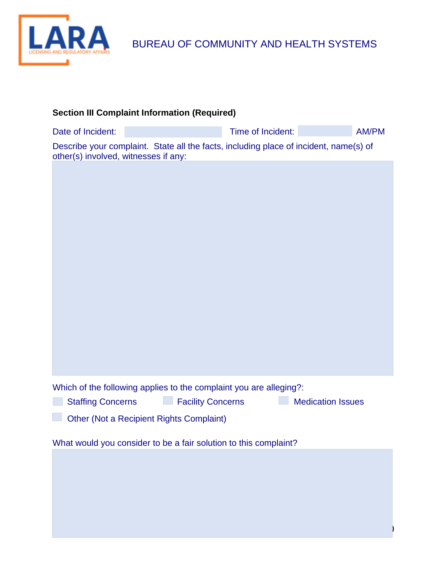

| <b>Section III Complaint Information (Required)</b>                                                                           |                          |              |  |  |  |
|-------------------------------------------------------------------------------------------------------------------------------|--------------------------|--------------|--|--|--|
| Date of Incident:                                                                                                             | Time of Incident:        | <b>AM/PM</b> |  |  |  |
| Describe your complaint. State all the facts, including place of incident, name(s) of<br>other(s) involved, witnesses if any: |                          |              |  |  |  |
|                                                                                                                               |                          |              |  |  |  |
| Which of the following applies to the complaint you are alleging?:<br><b>Facility Concerns</b><br><b>Staffing Concerns</b>    | <b>Medication Issues</b> |              |  |  |  |
| Other (Not a Recipient Rights Complaint)                                                                                      |                          |              |  |  |  |
| What would you consider to be a fair solution to this complaint?                                                              |                          |              |  |  |  |
|                                                                                                                               |                          |              |  |  |  |

BCHS-SUD-250 Page **2** of **3 (Rev 10/05/2020)**